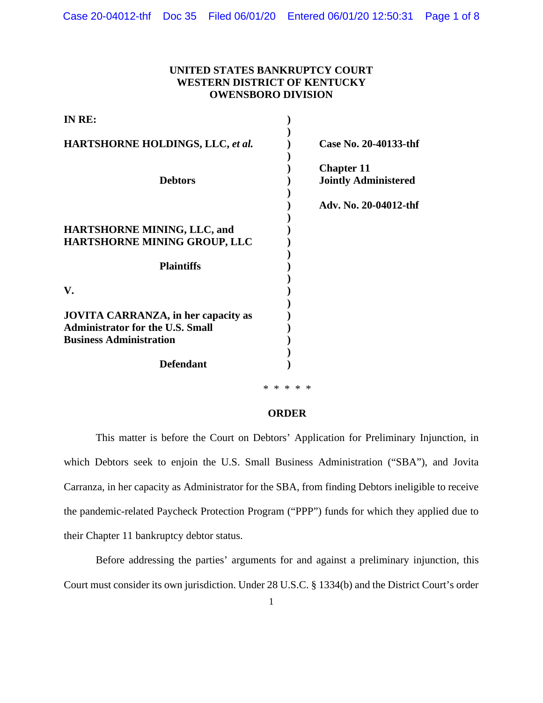## **UNITED STATES BANKRUPTCY COURT WESTERN DISTRICT OF KENTUCKY OWENSBORO DIVISION**

| IN RE:                                                                                                                  |                                                  |
|-------------------------------------------------------------------------------------------------------------------------|--------------------------------------------------|
| <b>HARTSHORNE HOLDINGS, LLC, et al.</b>                                                                                 | Case No. 20-40133-thf                            |
| <b>Debtors</b>                                                                                                          | <b>Chapter 11</b><br><b>Jointly Administered</b> |
|                                                                                                                         | Adv. No. 20-04012-thf                            |
| <b>HARTSHORNE MINING, LLC, and</b><br>HARTSHORNE MINING GROUP, LLC                                                      |                                                  |
| <b>Plaintiffs</b>                                                                                                       |                                                  |
| V.                                                                                                                      |                                                  |
| <b>JOVITA CARRANZA, in her capacity as</b><br><b>Administrator for the U.S. Small</b><br><b>Business Administration</b> |                                                  |
| <b>Defendant</b>                                                                                                        |                                                  |

\* \* \* \* \*

## **ORDER**

This matter is before the Court on Debtors' Application for Preliminary Injunction, in which Debtors seek to enjoin the U.S. Small Business Administration ("SBA"), and Jovita Carranza, in her capacity as Administrator for the SBA, from finding Debtors ineligible to receive the pandemic-related Paycheck Protection Program ("PPP") funds for which they applied due to their Chapter 11 bankruptcy debtor status.

Before addressing the parties' arguments for and against a preliminary injunction, this Court must consider its own jurisdiction. Under 28 U.S.C. § 1334(b) and the District Court's order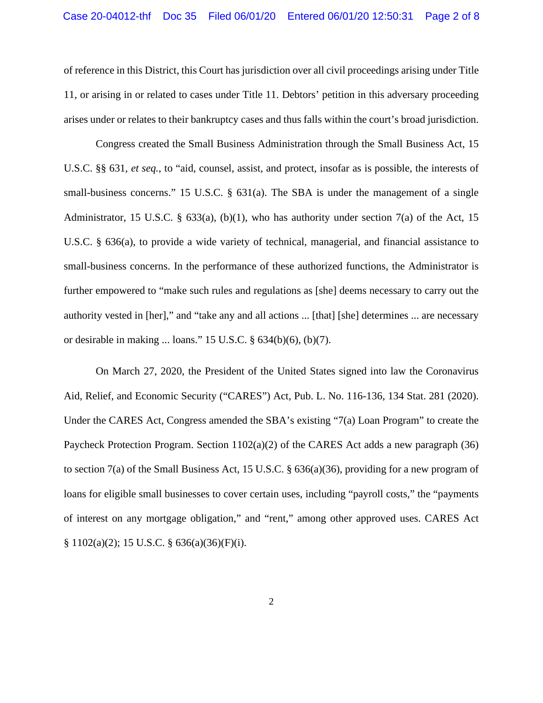of reference in this District, this Court has jurisdiction over all civil proceedings arising under Title 11, or arising in or related to cases under Title 11. Debtors' petition in this adversary proceeding arises under or relates to their bankruptcy cases and thus falls within the court's broad jurisdiction.

Congress created the Small Business Administration through the Small Business Act, 15 U.S.C. §§ 631, *et seq.*, to "aid, counsel, assist, and protect, insofar as is possible, the interests of small-business concerns." 15 U.S.C. § 631(a). The SBA is under the management of a single Administrator, 15 U.S.C. § 633(a), (b)(1), who has authority under section 7(a) of the Act, 15 U.S.C. § 636(a), to provide a wide variety of technical, managerial, and financial assistance to small-business concerns. In the performance of these authorized functions, the Administrator is further empowered to "make such rules and regulations as [she] deems necessary to carry out the authority vested in [her]," and "take any and all actions ... [that] [she] determines ... are necessary or desirable in making ... loans." 15 U.S.C. § 634(b)(6), (b)(7).

On March 27, 2020, the President of the United States signed into law the Coronavirus Aid, Relief, and Economic Security ("CARES") Act, Pub. L. No. 116-136, 134 Stat. 281 (2020). Under the CARES Act, Congress amended the SBA's existing "7(a) Loan Program" to create the Paycheck Protection Program. Section  $1102(a)(2)$  of the CARES Act adds a new paragraph (36) to section 7(a) of the Small Business Act, 15 U.S.C. § 636(a)(36), providing for a new program of loans for eligible small businesses to cover certain uses, including "payroll costs," the "payments" of interest on any mortgage obligation," and "rent," among other approved uses. CARES Act § 1102(a)(2); 15 U.S.C. § 636(a)(36)(F)(i).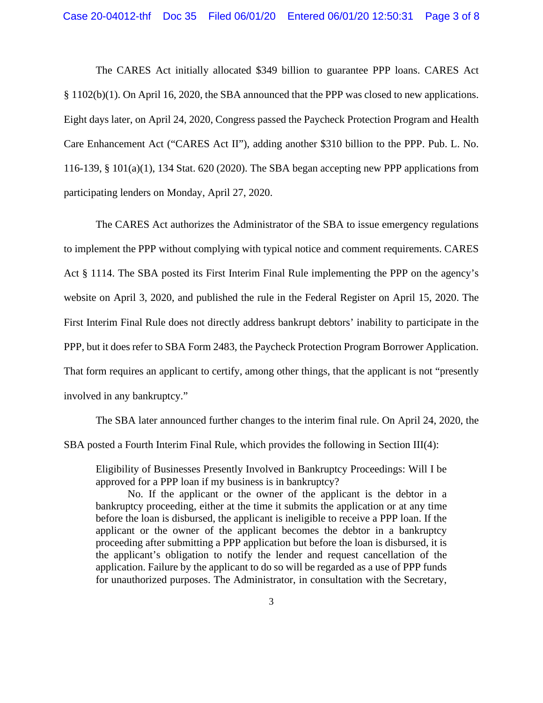The CARES Act initially allocated \$349 billion to guarantee PPP loans. CARES Act § 1102(b)(1). On April 16, 2020, the SBA announced that the PPP was closed to new applications. Eight days later, on April 24, 2020, Congress passed the Paycheck Protection Program and Health Care Enhancement Act ("CARES Act II"), adding another \$310 billion to the PPP. Pub. L. No. 116-139, § 101(a)(1), 134 Stat. 620 (2020). The SBA began accepting new PPP applications from participating lenders on Monday, April 27, 2020.

The CARES Act authorizes the Administrator of the SBA to issue emergency regulations to implement the PPP without complying with typical notice and comment requirements. CARES Act § 1114. The SBA posted its First Interim Final Rule implementing the PPP on the agency's website on April 3, 2020, and published the rule in the Federal Register on April 15, 2020. The First Interim Final Rule does not directly address bankrupt debtors' inability to participate in the PPP, but it does refer to SBA Form 2483, the Paycheck Protection Program Borrower Application. That form requires an applicant to certify, among other things, that the applicant is not "presently involved in any bankruptcy."

The SBA later announced further changes to the interim final rule. On April 24, 2020, the SBA posted a Fourth Interim Final Rule, which provides the following in Section III(4):

Eligibility of Businesses Presently Involved in Bankruptcy Proceedings: Will I be approved for a PPP loan if my business is in bankruptcy?

No. If the applicant or the owner of the applicant is the debtor in a bankruptcy proceeding, either at the time it submits the application or at any time before the loan is disbursed, the applicant is ineligible to receive a PPP loan. If the applicant or the owner of the applicant becomes the debtor in a bankruptcy proceeding after submitting a PPP application but before the loan is disbursed, it is the applicant's obligation to notify the lender and request cancellation of the application. Failure by the applicant to do so will be regarded as a use of PPP funds for unauthorized purposes. The Administrator, in consultation with the Secretary,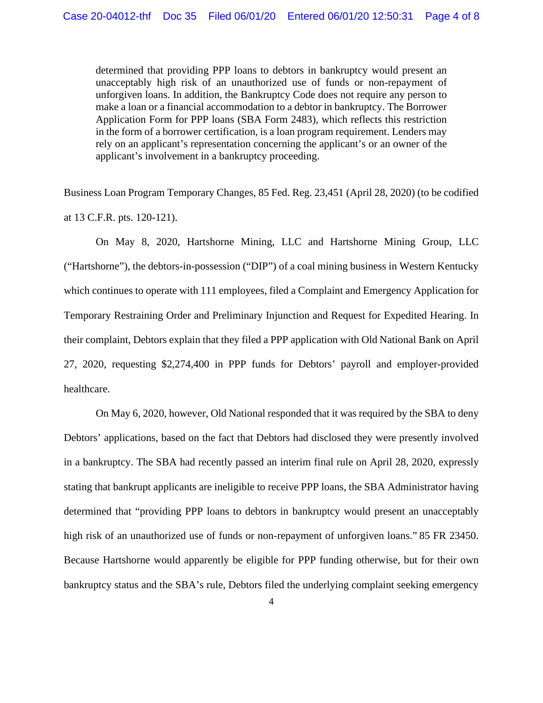determined that providing PPP loans to debtors in bankruptcy would present an unacceptably high risk of an unauthorized use of funds or non-repayment of unforgiven loans. In addition, the Bankruptcy Code does not require any person to make a loan or a financial accommodation to a debtor in bankruptcy. The Borrower Application Form for PPP loans (SBA Form 2483), which reflects this restriction in the form of a borrower certification, is a loan program requirement. Lenders may rely on an applicant's representation concerning the applicant's or an owner of the applicant's involvement in a bankruptcy proceeding.

Business Loan Program Temporary Changes, 85 Fed. Reg. 23,451 (April 28, 2020) (to be codified at 13 C.F.R. pts. 120-121).

On May 8, 2020, Hartshorne Mining, LLC and Hartshorne Mining Group, LLC ("Hartshorne"), the debtors-in-possession ("DIP") of a coal mining business in Western Kentucky which continues to operate with 111 employees, filed a Complaint and Emergency Application for Temporary Restraining Order and Preliminary Injunction and Request for Expedited Hearing. In their complaint, Debtors explain that they filed a PPP application with Old National Bank on April 27, 2020, requesting \$2,274,400 in PPP funds for Debtors' payroll and employer-provided healthcare.

On May 6, 2020, however, Old National responded that it was required by the SBA to deny Debtors' applications, based on the fact that Debtors had disclosed they were presently involved in a bankruptcy. The SBA had recently passed an interim final rule on April 28, 2020, expressly stating that bankrupt applicants are ineligible to receive PPP loans, the SBA Administrator having determined that "providing PPP loans to debtors in bankruptcy would present an unacceptably high risk of an unauthorized use of funds or non-repayment of unforgiven loans." 85 FR 23450. Because Hartshorne would apparently be eligible for PPP funding otherwise, but for their own bankruptcy status and the SBA's rule, Debtors filed the underlying complaint seeking emergency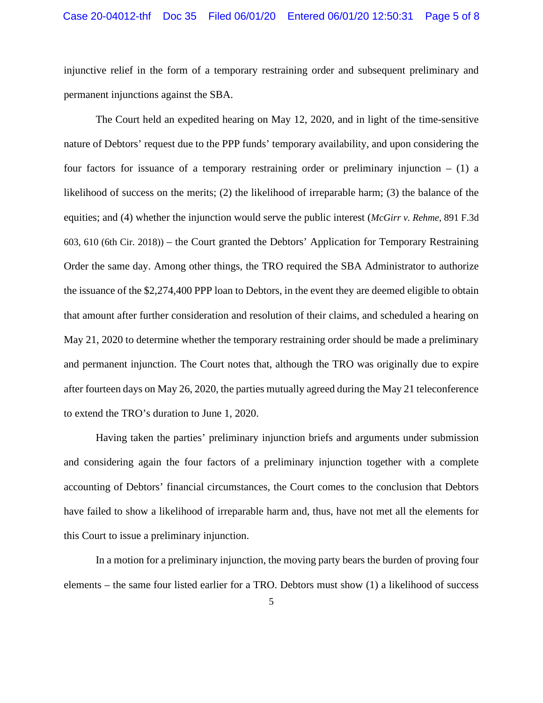injunctive relief in the form of a temporary restraining order and subsequent preliminary and permanent injunctions against the SBA.

The Court held an expedited hearing on May 12, 2020, and in light of the time-sensitive nature of Debtors' request due to the PPP funds' temporary availability, and upon considering the four factors for issuance of a temporary restraining order or preliminary injunction  $- (1)$  a likelihood of success on the merits; (2) the likelihood of irreparable harm; (3) the balance of the equities; and (4) whether the injunction would serve the public interest (*McGirr v. Rehme*, 891 F.3d 603, 610 (6th Cir. 2018)) – the Court granted the Debtors' Application for Temporary Restraining Order the same day. Among other things, the TRO required the SBA Administrator to authorize the issuance of the \$2,274,400 PPP loan to Debtors, in the event they are deemed eligible to obtain that amount after further consideration and resolution of their claims, and scheduled a hearing on May 21, 2020 to determine whether the temporary restraining order should be made a preliminary and permanent injunction. The Court notes that, although the TRO was originally due to expire after fourteen days on May 26, 2020, the parties mutually agreed during the May 21 teleconference to extend the TRO's duration to June 1, 2020.

Having taken the parties' preliminary injunction briefs and arguments under submission and considering again the four factors of a preliminary injunction together with a complete accounting of Debtors' financial circumstances, the Court comes to the conclusion that Debtors have failed to show a likelihood of irreparable harm and, thus, have not met all the elements for this Court to issue a preliminary injunction.

In a motion for a preliminary injunction, the moving party bears the burden of proving four elements – the same four listed earlier for a TRO. Debtors must show (1) a likelihood of success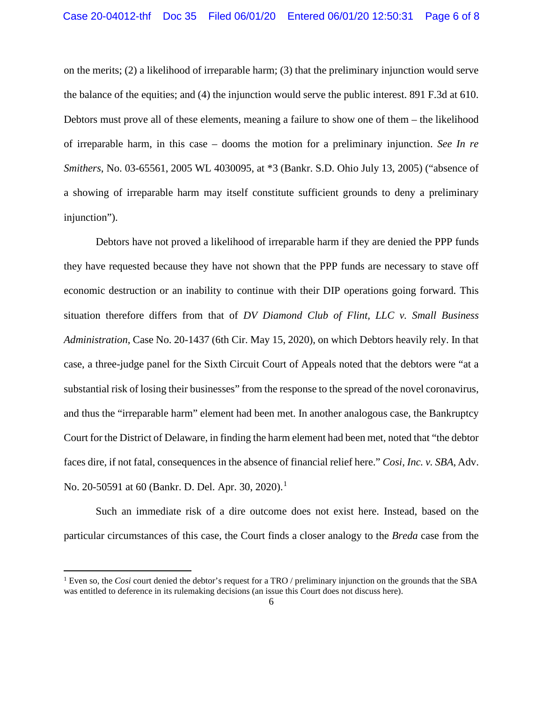on the merits; (2) a likelihood of irreparable harm; (3) that the preliminary injunction would serve the balance of the equities; and (4) the injunction would serve the public interest. 891 F.3d at 610. Debtors must prove all of these elements, meaning a failure to show one of them – the likelihood of irreparable harm, in this case – dooms the motion for a preliminary injunction. *See In re Smithers*, No. 03-65561, 2005 WL 4030095, at \*3 (Bankr. S.D. Ohio July 13, 2005) ("absence of a showing of irreparable harm may itself constitute sufficient grounds to deny a preliminary injunction").

Debtors have not proved a likelihood of irreparable harm if they are denied the PPP funds they have requested because they have not shown that the PPP funds are necessary to stave off economic destruction or an inability to continue with their DIP operations going forward. This situation therefore differs from that of *DV Diamond Club of Flint, LLC v. Small Business Administration*, Case No. 20-1437 (6th Cir. May 15, 2020), on which Debtors heavily rely. In that case, a three-judge panel for the Sixth Circuit Court of Appeals noted that the debtors were "at a substantial risk of losing their businesses" from the response to the spread of the novel coronavirus, and thus the "irreparable harm" element had been met. In another analogous case, the Bankruptcy Court for the District of Delaware, in finding the harm element had been met, noted that "the debtor faces dire, if not fatal, consequences in the absence of financial relief here." *Cosi, Inc. v. SBA*, Adv. No. 20-50591 at 60 (Bankr. D. Del. Apr. 30, 2020).<sup>1</sup>

Such an immediate risk of a dire outcome does not exist here. Instead, based on the particular circumstances of this case, the Court finds a closer analogy to the *Breda* case from the

<sup>&</sup>lt;sup>1</sup> Even so, the *Cosi* court denied the debtor's request for a TRO / preliminary injunction on the grounds that the SBA was entitled to deference in its rulemaking decisions (an issue this Court does not discuss here).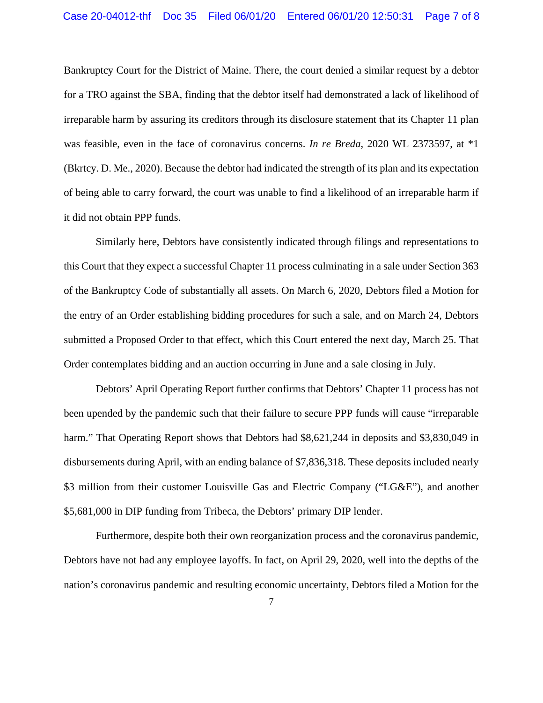Bankruptcy Court for the District of Maine. There, the court denied a similar request by a debtor for a TRO against the SBA, finding that the debtor itself had demonstrated a lack of likelihood of irreparable harm by assuring its creditors through its disclosure statement that its Chapter 11 plan was feasible, even in the face of coronavirus concerns. *In re Breda*, 2020 WL 2373597, at \*1 (Bkrtcy. D. Me., 2020). Because the debtor had indicated the strength of its plan and its expectation of being able to carry forward, the court was unable to find a likelihood of an irreparable harm if it did not obtain PPP funds.

Similarly here, Debtors have consistently indicated through filings and representations to this Court that they expect a successful Chapter 11 process culminating in a sale under Section 363 of the Bankruptcy Code of substantially all assets. On March 6, 2020, Debtors filed a Motion for the entry of an Order establishing bidding procedures for such a sale, and on March 24, Debtors submitted a Proposed Order to that effect, which this Court entered the next day, March 25. That Order contemplates bidding and an auction occurring in June and a sale closing in July.

Debtors' April Operating Report further confirms that Debtors' Chapter 11 process has not been upended by the pandemic such that their failure to secure PPP funds will cause "irreparable harm." That Operating Report shows that Debtors had \$8,621,244 in deposits and \$3,830,049 in disbursements during April, with an ending balance of \$7,836,318. These deposits included nearly \$3 million from their customer Louisville Gas and Electric Company ("LG&E"), and another \$5,681,000 in DIP funding from Tribeca, the Debtors' primary DIP lender.

Furthermore, despite both their own reorganization process and the coronavirus pandemic, Debtors have not had any employee layoffs. In fact, on April 29, 2020, well into the depths of the nation's coronavirus pandemic and resulting economic uncertainty, Debtors filed a Motion for the